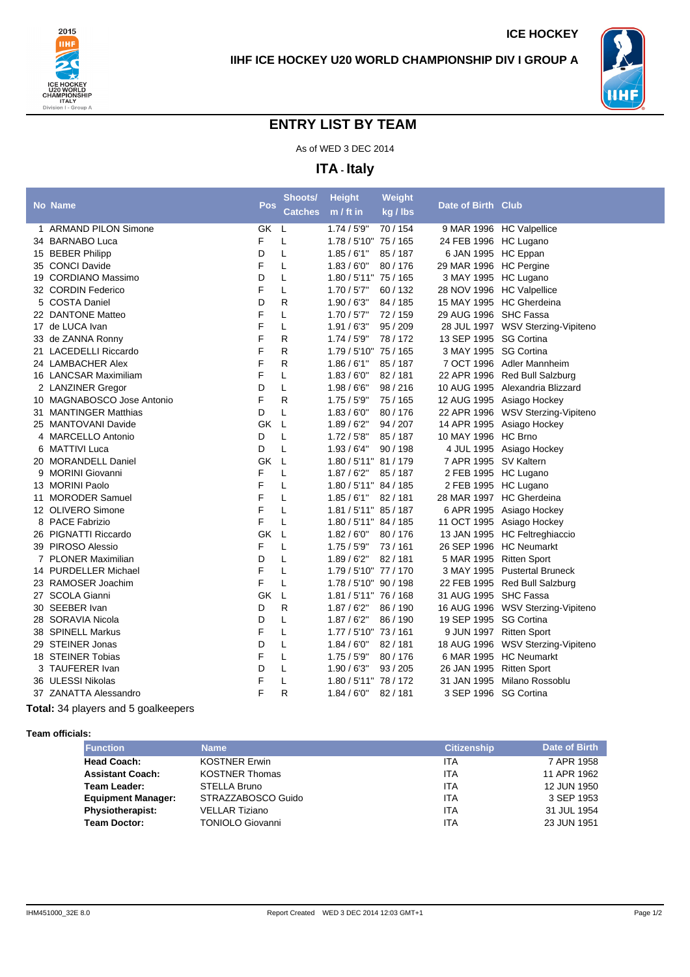



**ICE HOCKEY**

## **ENTRY LIST BY TEAM**

As of WED 3 DEC 2014

**ITA - Italy**

|   |                            |     | Shoots/        | <b>Height</b>         | Weight   |                           |                                   |
|---|----------------------------|-----|----------------|-----------------------|----------|---------------------------|-----------------------------------|
|   | <b>No Name</b>             | Pos | <b>Catches</b> | $m / ft$ in           | kg / lbs | Date of Birth Club        |                                   |
|   | 1 ARMAND PILON Simone      | GK  | L              | 1.74/5'9''            | 70/154   |                           | 9 MAR 1996 HC Valpellice          |
|   | 34 BARNABO Luca            | F   | L              | 1.78 / 5'10" 75 / 165 |          | 24 FEB 1996 HC Lugano     |                                   |
|   | 15 BEBER Philipp           | D   | L              | 1.85/6'1"             | 85 / 187 | 6 JAN 1995 HC Eppan       |                                   |
|   | 35 CONCI Davide            | F   | L              | 1.83/6'0''            | 80 / 176 | 29 MAR 1996 HC Pergine    |                                   |
|   | 19 CORDIANO Massimo        | D   | Г              | 1.80 / 5'11" 75 / 165 |          | 3 MAY 1995 HC Lugano      |                                   |
|   | 32 CORDIN Federico         | F   | Г              | 1.70 / 5'7''          | 60 / 132 | 28 NOV 1996 HC Valpellice |                                   |
|   | 5 COSTA Daniel             | D   | R              | 1.90/6'3''            | 84 / 185 |                           | 15 MAY 1995 HC Gherdeina          |
|   | 22 DANTONE Matteo          | F   | L              | 1.70/5'7"             | 72/159   | 29 AUG 1996 SHC Fassa     |                                   |
|   | 17 de LUCA Ivan            | F   | L              | 1.91/6'3''            | 95 / 209 |                           | 28 JUL 1997 WSV Sterzing-Vipiteno |
|   | 33 de ZANNA Ronny          | F   | R              | 1.74/5'9''            | 78/172   | 13 SEP 1995 SG Cortina    |                                   |
|   | 21 LACEDELLI Riccardo      | F   | R              | 1.79 / 5'10" 75 / 165 |          | 3 MAY 1995 SG Cortina     |                                   |
|   | 24 LAMBACHER Alex          | F   | R              | 1.86/6'1"             | 85/187   |                           | 7 OCT 1996 Adler Mannheim         |
|   | 16 LANCSAR Maximiliam      | F   | Г              | 1.83/6'0''            | 82/181   |                           | 22 APR 1996 Red Bull Salzburg     |
|   | 2 LANZINER Gregor          | D   | Г              | 1.98/66"              | 98/216   |                           | 10 AUG 1995 Alexandria Blizzard   |
|   | 10 MAGNABOSCO Jose Antonio | F   | R              | 1.75/5'9"             | 75 / 165 |                           | 12 AUG 1995 Asiago Hockey         |
|   | 31 MANTINGER Matthias      | D   | L              | 1.83/6'0''            | 80/176   |                           | 22 APR 1996 WSV Sterzing-Vipiteno |
|   | 25 MANTOVANI Davide        | GK  | L              | 1.89/6'2"             | 94 / 207 |                           | 14 APR 1995 Asiago Hockey         |
| 4 | <b>MARCELLO Antonio</b>    | D   | L              | 1.72/5'8"             | 85/187   | 10 MAY 1996 HC Brno       |                                   |
| 6 | MATTIVI Luca               | D   | L              | 1.93/6'4"             | 90/198   |                           | 4 JUL 1995 Asiago Hockey          |
|   | 20 MORANDELL Daniel        | GK  | L              | 1.80 / 5'11" 81 / 179 |          | 7 APR 1995 SV Kaltern     |                                   |
| 9 | <b>MORINI Giovanni</b>     | F   | L              | 1.87/6'2"             | 85/187   | 2 FEB 1995 HC Lugano      |                                   |
|   | 13 MORINI Paolo            | F   | L              | 1.80 / 5'11" 84 / 185 |          | 2 FEB 1995 HC Lugano      |                                   |
|   | 11 MORODER Samuel          | F   | Г              | 1.85/6'1''            | 82/181   |                           | 28 MAR 1997 HC Gherdeina          |
|   | 12 OLIVERO Simone          | F   | L              | 1.81 / 5'11" 85 / 187 |          |                           | 6 APR 1995 Asiago Hockey          |
| 8 | <b>PACE Fabrizio</b>       | F   | L              | 1.80 / 5'11" 84 / 185 |          |                           | 11 OCT 1995 Asiago Hockey         |
|   | 26 PIGNATTI Riccardo       | GK  | L              | 1.82/6'0''            | 80/176   |                           | 13 JAN 1995 HC Feltreghiaccio     |
|   | 39 PIROSO Alessio          | F   | L              | 1.75/5'9"             | 73/161   | 26 SEP 1996 HC Neumarkt   |                                   |
|   | 7 PLONER Maximilian        | D   | Г              | 1.89/6'2"             | 82/181   | 5 MAR 1995 Ritten Sport   |                                   |
|   | 14 PURDELLER Michael       | F   | L              | 1.79 / 5'10" 77 / 170 |          |                           | 3 MAY 1995 Pustertal Bruneck      |
|   | 23 RAMOSER Joachim         | F   | L              | 1.78 / 5'10" 90 / 198 |          |                           | 22 FEB 1995 Red Bull Salzburg     |
|   | 27 SCOLA Gianni            | GK  | L              | 1.81 / 5'11" 76 / 168 |          | 31 AUG 1995 SHC Fassa     |                                   |
|   | 30 SEEBER Ivan             | D   | R              | 1.87/6'2"             | 86 / 190 |                           | 16 AUG 1996 WSV Sterzing-Vipiteno |
|   | 28 SORAVIA Nicola          | D   | Г              | 1.87/6'2"             | 86 / 190 | 19 SEP 1995 SG Cortina    |                                   |
|   | 38 SPINELL Markus          | F   | L              | 1.77 / 5'10" 73 / 161 |          | 9 JUN 1997 Ritten Sport   |                                   |
|   | 29 STEINER Jonas           | D   | L              | 1.84/6'0''            | 82/181   |                           | 18 AUG 1996 WSV Sterzing-Vipiteno |
|   | 18 STEINER Tobias          | F   | Г              | 1.75/5'9"             | 80/176   |                           | 6 MAR 1995 HC Neumarkt            |
|   | 3 TAUFERER Ivan            | D   | L              | 1.90/6'3''            | 93 / 205 | 26 JAN 1995 Ritten Sport  |                                   |
|   | 36 ULESSI Nikolas          | F   | L              | 1.80 / 5'11" 78 / 172 |          | 31 JAN 1995               | Milano Rossoblu                   |
|   | 37 ZANATTA Alessandro      | F   | R              | 1.84/6'0''            | 82/181   | 3 SEP 1996 SG Cortina     |                                   |
|   |                            |     |                |                       |          |                           |                                   |

**Total:** 34 players and 5 goalkeepers

**Team officials:**

| <b>Function</b>           | Name                    | <b>Citizenship</b> | Date of Birth |
|---------------------------|-------------------------|--------------------|---------------|
| <b>Head Coach:</b>        | <b>KOSTNER Erwin</b>    | ITA                | 7 APR 1958    |
| <b>Assistant Coach:</b>   | <b>KOSTNER Thomas</b>   | ITA                | 11 APR 1962   |
| Team Leader:              | STELLA Bruno            | ITA                | 12 JUN 1950   |
| <b>Equipment Manager:</b> | STRAZZABOSCO Guido      | ITA                | 3 SEP 1953    |
| Physiotherapist:          | <b>VELLAR Tiziano</b>   | ITA                | 31 JUL 1954   |
| <b>Team Doctor:</b>       | <b>TONIOLO Giovanni</b> | ITA                | 23 JUN 1951   |